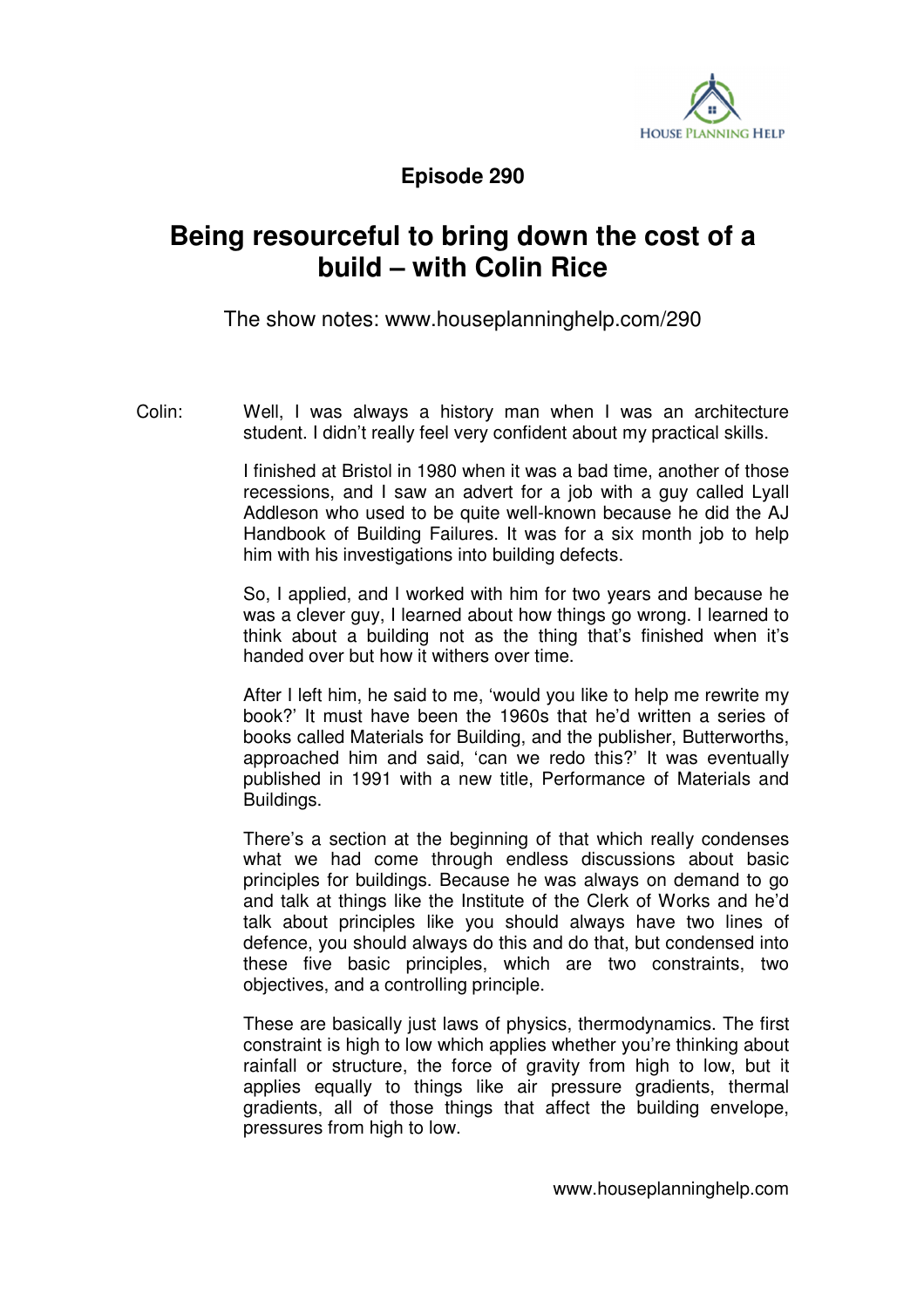

**Episode 290** 

## **Being resourceful to bring down the cost of a build – with Colin Rice**

The show notes: www.houseplanninghelp.com/290

Colin: Well, I was always a history man when I was an architecture student. I didn't really feel very confident about my practical skills.

> I finished at Bristol in 1980 when it was a bad time, another of those recessions, and I saw an advert for a job with a guy called Lyall Addleson who used to be quite well-known because he did the AJ Handbook of Building Failures. It was for a six month job to help him with his investigations into building defects.

> So, I applied, and I worked with him for two years and because he was a clever guy, I learned about how things go wrong. I learned to think about a building not as the thing that's finished when it's handed over but how it withers over time.

> After I left him, he said to me, 'would you like to help me rewrite my book?' It must have been the 1960s that he'd written a series of books called Materials for Building, and the publisher, Butterworths, approached him and said, 'can we redo this?' It was eventually published in 1991 with a new title, Performance of Materials and Buildings.

> There's a section at the beginning of that which really condenses what we had come through endless discussions about basic principles for buildings. Because he was always on demand to go and talk at things like the Institute of the Clerk of Works and he'd talk about principles like you should always have two lines of defence, you should always do this and do that, but condensed into these five basic principles, which are two constraints, two objectives, and a controlling principle.

> These are basically just laws of physics, thermodynamics. The first constraint is high to low which applies whether you're thinking about rainfall or structure, the force of gravity from high to low, but it applies equally to things like air pressure gradients, thermal gradients, all of those things that affect the building envelope, pressures from high to low.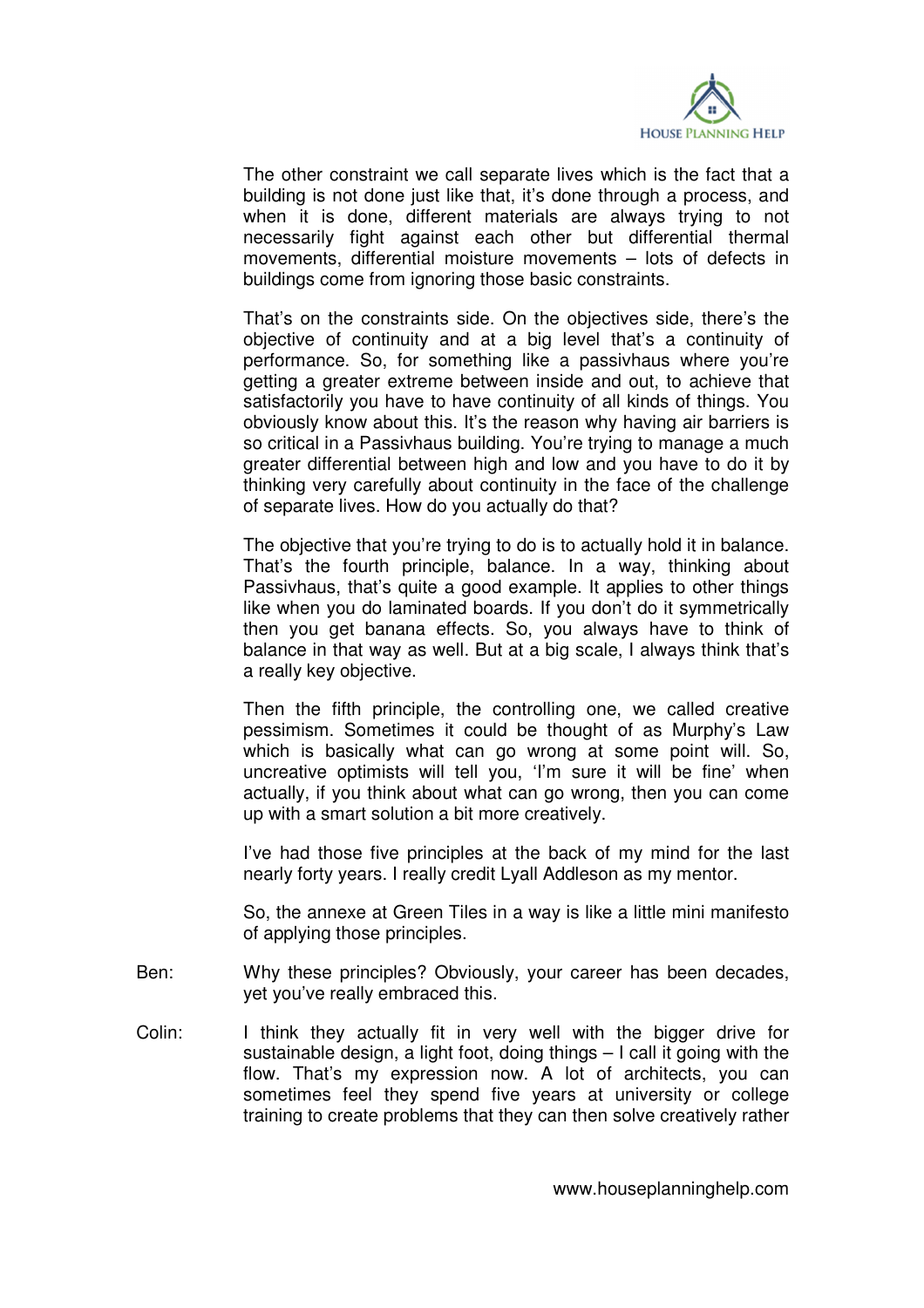

 The other constraint we call separate lives which is the fact that a building is not done just like that, it's done through a process, and when it is done, different materials are always trying to not necessarily fight against each other but differential thermal movements, differential moisture movements – lots of defects in buildings come from ignoring those basic constraints.

 That's on the constraints side. On the objectives side, there's the objective of continuity and at a big level that's a continuity of performance. So, for something like a passivhaus where you're getting a greater extreme between inside and out, to achieve that satisfactorily you have to have continuity of all kinds of things. You obviously know about this. It's the reason why having air barriers is so critical in a Passivhaus building. You're trying to manage a much greater differential between high and low and you have to do it by thinking very carefully about continuity in the face of the challenge of separate lives. How do you actually do that?

The objective that you're trying to do is to actually hold it in balance. That's the fourth principle, balance. In a way, thinking about Passivhaus, that's quite a good example. It applies to other things like when you do laminated boards. If you don't do it symmetrically then you get banana effects. So, you always have to think of balance in that way as well. But at a big scale, I always think that's a really key objective.

 Then the fifth principle, the controlling one, we called creative pessimism. Sometimes it could be thought of as Murphy's Law which is basically what can go wrong at some point will. So, uncreative optimists will tell you, 'I'm sure it will be fine' when actually, if you think about what can go wrong, then you can come up with a smart solution a bit more creatively.

 I've had those five principles at the back of my mind for the last nearly forty years. I really credit Lyall Addleson as my mentor.

 So, the annexe at Green Tiles in a way is like a little mini manifesto of applying those principles.

- Ben: Why these principles? Obviously, your career has been decades, yet you've really embraced this.
- Colin: I think they actually fit in very well with the bigger drive for sustainable design, a light foot, doing things – I call it going with the flow. That's my expression now. A lot of architects, you can sometimes feel they spend five years at university or college training to create problems that they can then solve creatively rather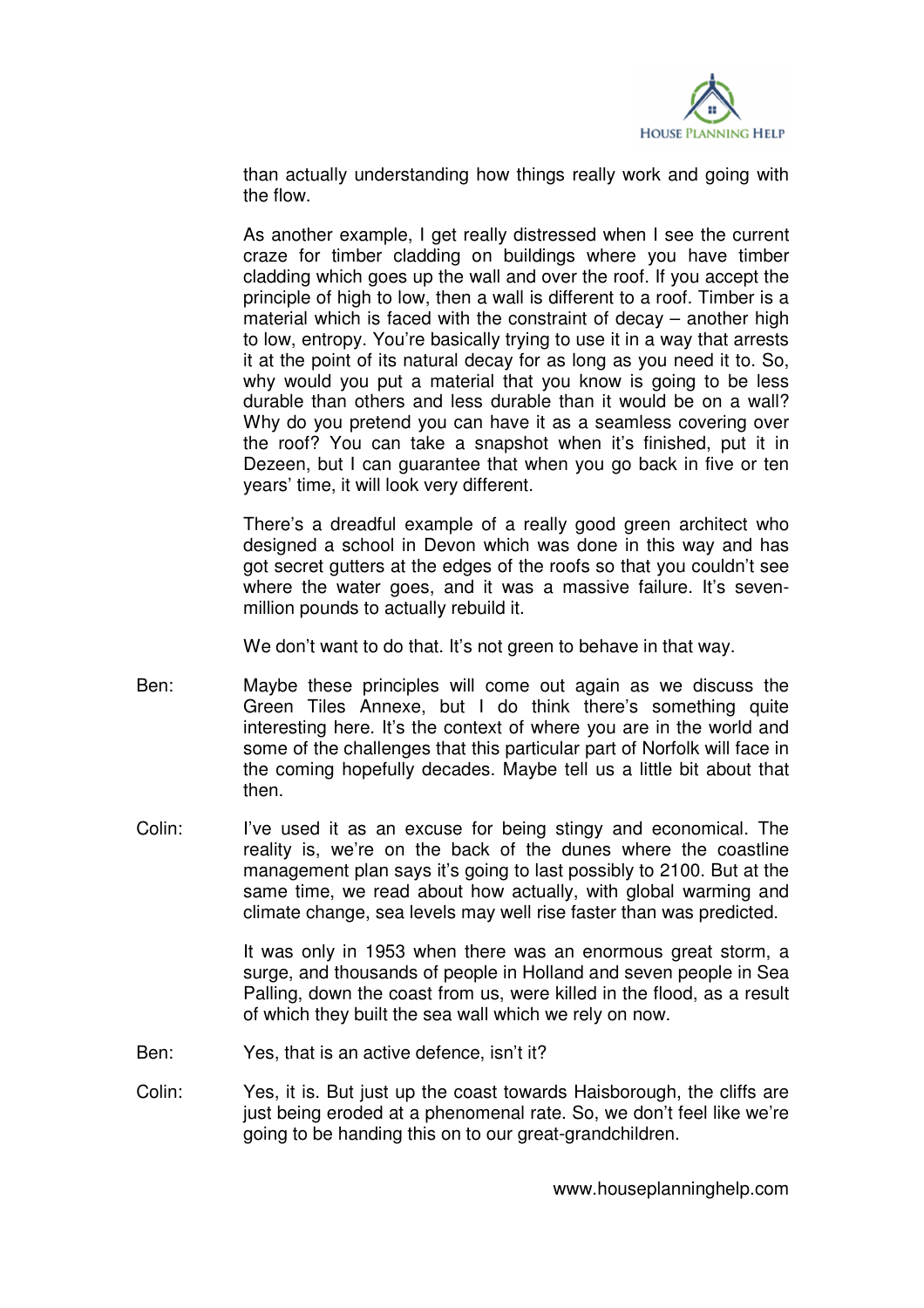

than actually understanding how things really work and going with the flow.

 As another example, I get really distressed when I see the current craze for timber cladding on buildings where you have timber cladding which goes up the wall and over the roof. If you accept the principle of high to low, then a wall is different to a roof. Timber is a material which is faced with the constraint of decay – another high to low, entropy. You're basically trying to use it in a way that arrests it at the point of its natural decay for as long as you need it to. So, why would you put a material that you know is going to be less durable than others and less durable than it would be on a wall? Why do you pretend you can have it as a seamless covering over the roof? You can take a snapshot when it's finished, put it in Dezeen, but I can guarantee that when you go back in five or ten years' time, it will look very different.

 There's a dreadful example of a really good green architect who designed a school in Devon which was done in this way and has got secret gutters at the edges of the roofs so that you couldn't see where the water goes, and it was a massive failure. It's sevenmillion pounds to actually rebuild it.

We don't want to do that. It's not green to behave in that way.

- Ben: Maybe these principles will come out again as we discuss the Green Tiles Annexe, but I do think there's something quite interesting here. It's the context of where you are in the world and some of the challenges that this particular part of Norfolk will face in the coming hopefully decades. Maybe tell us a little bit about that then.
- Colin: I've used it as an excuse for being stingy and economical. The reality is, we're on the back of the dunes where the coastline management plan says it's going to last possibly to 2100. But at the same time, we read about how actually, with global warming and climate change, sea levels may well rise faster than was predicted.

 It was only in 1953 when there was an enormous great storm, a surge, and thousands of people in Holland and seven people in Sea Palling, down the coast from us, were killed in the flood, as a result of which they built the sea wall which we rely on now.

- Ben: Yes, that is an active defence, isn't it?
- Colin: Yes, it is. But just up the coast towards Haisborough, the cliffs are just being eroded at a phenomenal rate. So, we don't feel like we're going to be handing this on to our great-grandchildren.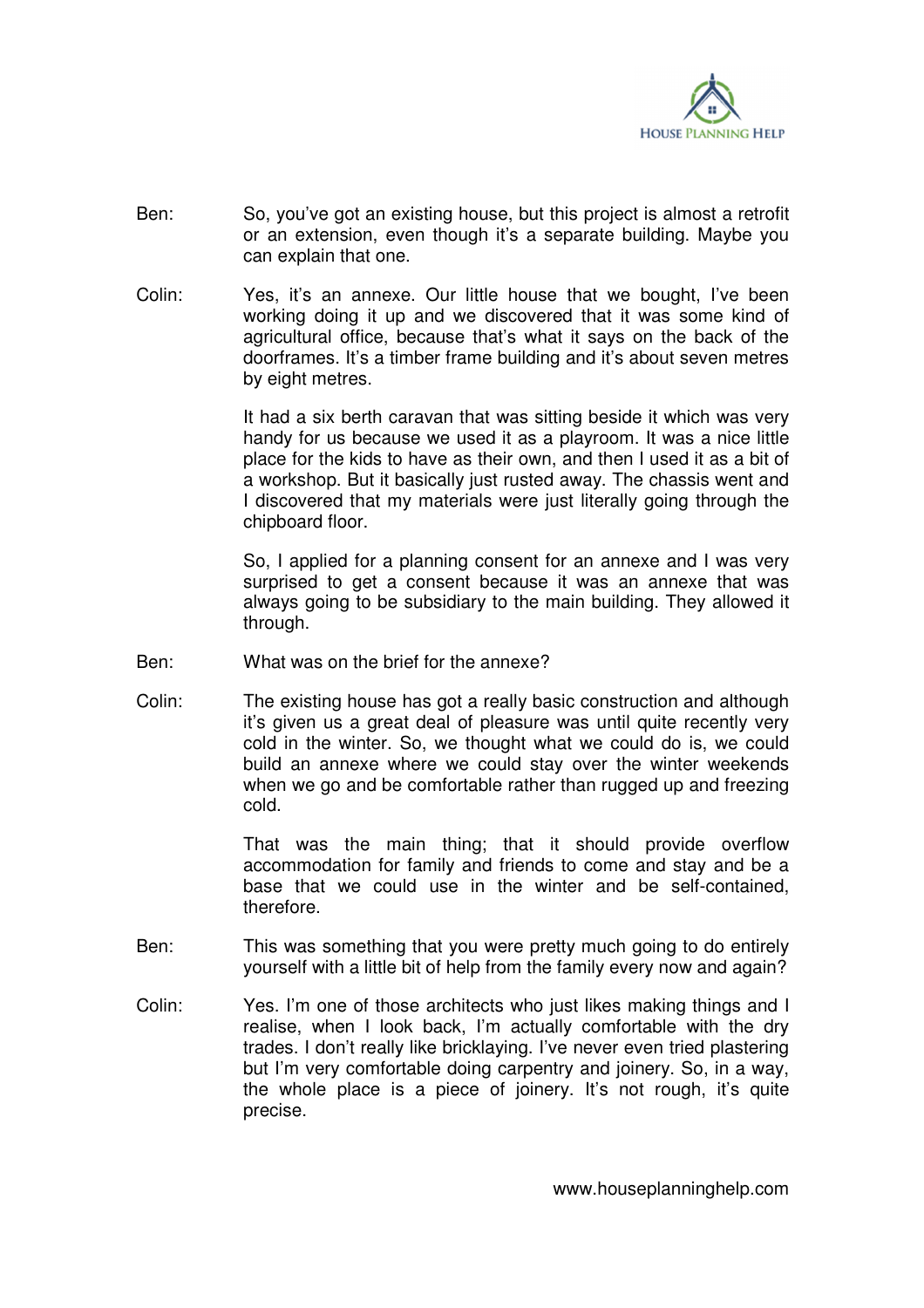

- Ben: So, you've got an existing house, but this project is almost a retrofit or an extension, even though it's a separate building. Maybe you can explain that one.
- Colin: Yes, it's an annexe. Our little house that we bought, I've been working doing it up and we discovered that it was some kind of agricultural office, because that's what it says on the back of the doorframes. It's a timber frame building and it's about seven metres by eight metres.

 It had a six berth caravan that was sitting beside it which was very handy for us because we used it as a playroom. It was a nice little place for the kids to have as their own, and then I used it as a bit of a workshop. But it basically just rusted away. The chassis went and I discovered that my materials were just literally going through the chipboard floor.

 So, I applied for a planning consent for an annexe and I was very surprised to get a consent because it was an annexe that was always going to be subsidiary to the main building. They allowed it through.

- Ben: What was on the brief for the annexe?
- Colin: The existing house has got a really basic construction and although it's given us a great deal of pleasure was until quite recently very cold in the winter. So, we thought what we could do is, we could build an annexe where we could stay over the winter weekends when we go and be comfortable rather than rugged up and freezing cold.

 That was the main thing; that it should provide overflow accommodation for family and friends to come and stay and be a base that we could use in the winter and be self-contained, therefore.

- Ben: This was something that you were pretty much going to do entirely yourself with a little bit of help from the family every now and again?
- Colin: Yes. I'm one of those architects who just likes making things and I realise, when I look back, I'm actually comfortable with the dry trades. I don't really like bricklaying. I've never even tried plastering but I'm very comfortable doing carpentry and joinery. So, in a way, the whole place is a piece of joinery. It's not rough, it's quite precise.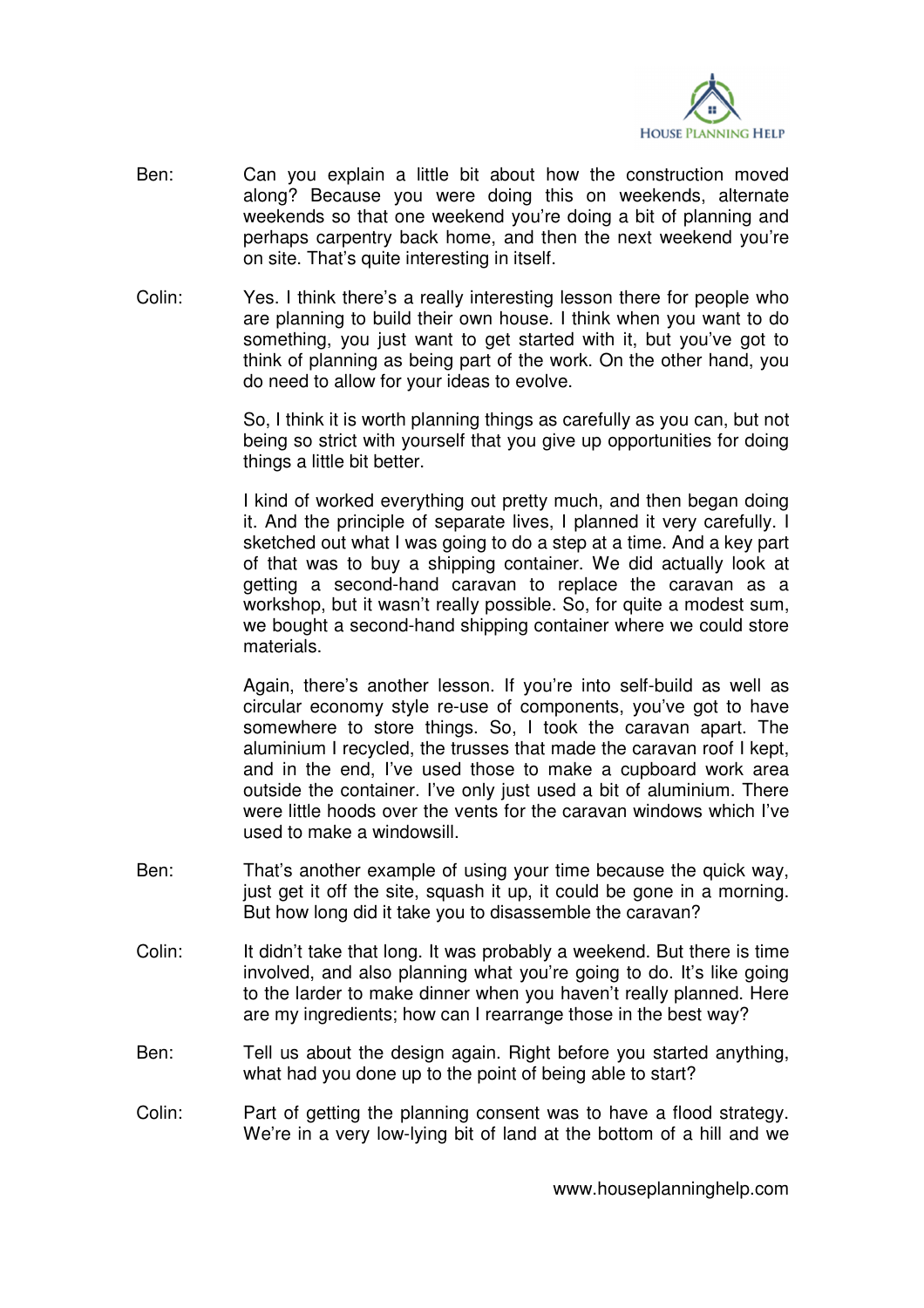

- Ben: Can you explain a little bit about how the construction moved along? Because you were doing this on weekends, alternate weekends so that one weekend you're doing a bit of planning and perhaps carpentry back home, and then the next weekend you're on site. That's quite interesting in itself.
- Colin: Yes. I think there's a really interesting lesson there for people who are planning to build their own house. I think when you want to do something, you just want to get started with it, but you've got to think of planning as being part of the work. On the other hand, you do need to allow for your ideas to evolve.

 So, I think it is worth planning things as carefully as you can, but not being so strict with yourself that you give up opportunities for doing things a little bit better.

 I kind of worked everything out pretty much, and then began doing it. And the principle of separate lives, I planned it very carefully. I sketched out what I was going to do a step at a time. And a key part of that was to buy a shipping container. We did actually look at getting a second-hand caravan to replace the caravan as a workshop, but it wasn't really possible. So, for quite a modest sum, we bought a second-hand shipping container where we could store materials.

 Again, there's another lesson. If you're into self-build as well as circular economy style re-use of components, you've got to have somewhere to store things. So, I took the caravan apart. The aluminium I recycled, the trusses that made the caravan roof I kept, and in the end, I've used those to make a cupboard work area outside the container. I've only just used a bit of aluminium. There were little hoods over the vents for the caravan windows which I've used to make a windowsill.

- Ben: That's another example of using your time because the quick way, just get it off the site, squash it up, it could be gone in a morning. But how long did it take you to disassemble the caravan?
- Colin: It didn't take that long. It was probably a weekend. But there is time involved, and also planning what you're going to do. It's like going to the larder to make dinner when you haven't really planned. Here are my ingredients; how can I rearrange those in the best way?
- Ben: Tell us about the design again. Right before you started anything, what had you done up to the point of being able to start?
- Colin: Part of getting the planning consent was to have a flood strategy. We're in a very low-lying bit of land at the bottom of a hill and we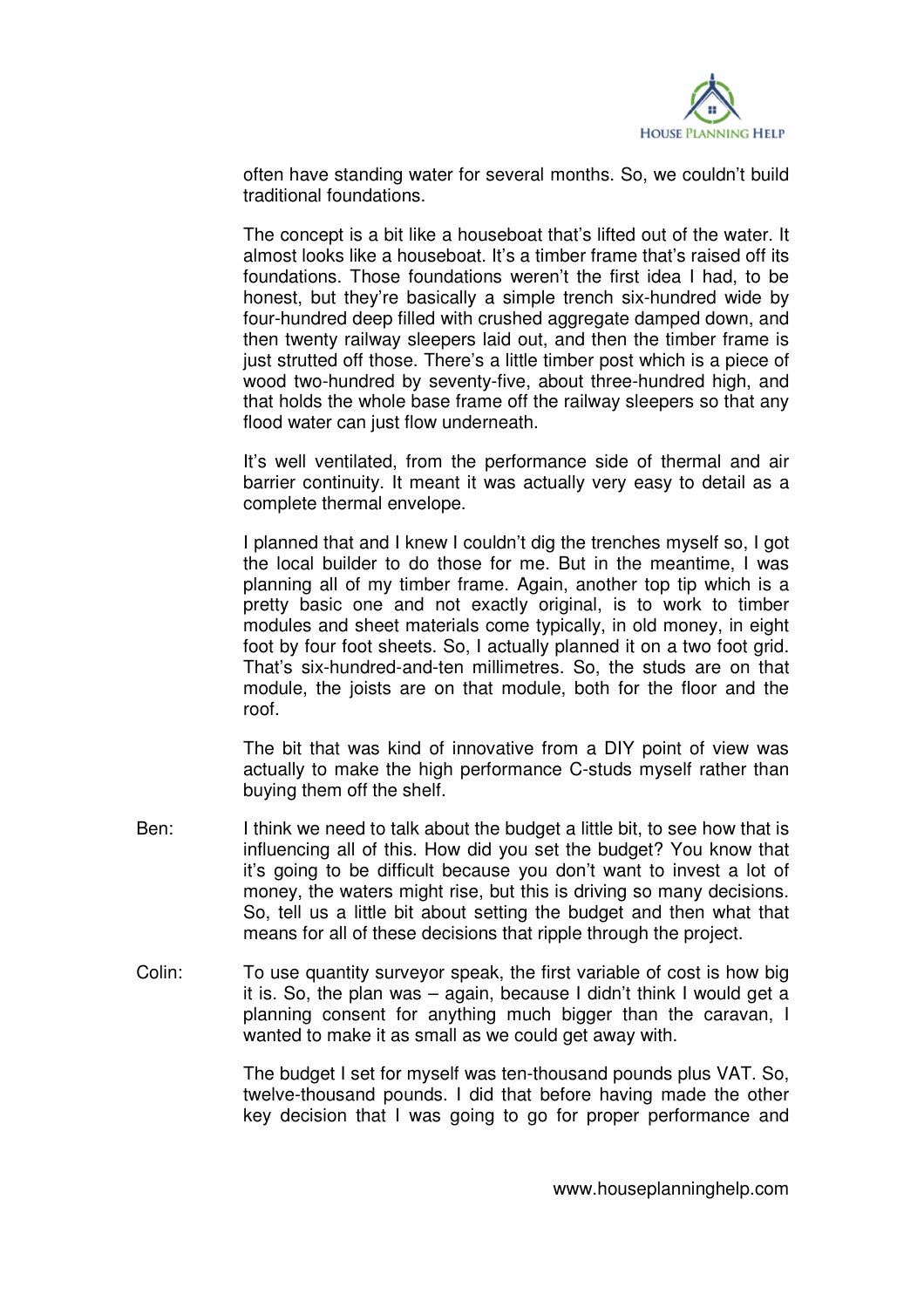

often have standing water for several months. So, we couldn't build traditional foundations.

 The concept is a bit like a houseboat that's lifted out of the water. It almost looks like a houseboat. It's a timber frame that's raised off its foundations. Those foundations weren't the first idea I had, to be honest, but they're basically a simple trench six-hundred wide by four-hundred deep filled with crushed aggregate damped down, and then twenty railway sleepers laid out, and then the timber frame is just strutted off those. There's a little timber post which is a piece of wood two-hundred by seventy-five, about three-hundred high, and that holds the whole base frame off the railway sleepers so that any flood water can just flow underneath.

 It's well ventilated, from the performance side of thermal and air barrier continuity. It meant it was actually very easy to detail as a complete thermal envelope.

 I planned that and I knew I couldn't dig the trenches myself so, I got the local builder to do those for me. But in the meantime, I was planning all of my timber frame. Again, another top tip which is a pretty basic one and not exactly original, is to work to timber modules and sheet materials come typically, in old money, in eight foot by four foot sheets. So, I actually planned it on a two foot grid. That's six-hundred-and-ten millimetres. So, the studs are on that module, the joists are on that module, both for the floor and the roof.

 The bit that was kind of innovative from a DIY point of view was actually to make the high performance C-studs myself rather than buying them off the shelf.

- Ben: I think we need to talk about the budget a little bit, to see how that is influencing all of this. How did you set the budget? You know that it's going to be difficult because you don't want to invest a lot of money, the waters might rise, but this is driving so many decisions. So, tell us a little bit about setting the budget and then what that means for all of these decisions that ripple through the project.
- Colin: To use quantity surveyor speak, the first variable of cost is how big it is. So, the plan was – again, because I didn't think I would get a planning consent for anything much bigger than the caravan, I wanted to make it as small as we could get away with.

 The budget I set for myself was ten-thousand pounds plus VAT. So, twelve-thousand pounds. I did that before having made the other key decision that I was going to go for proper performance and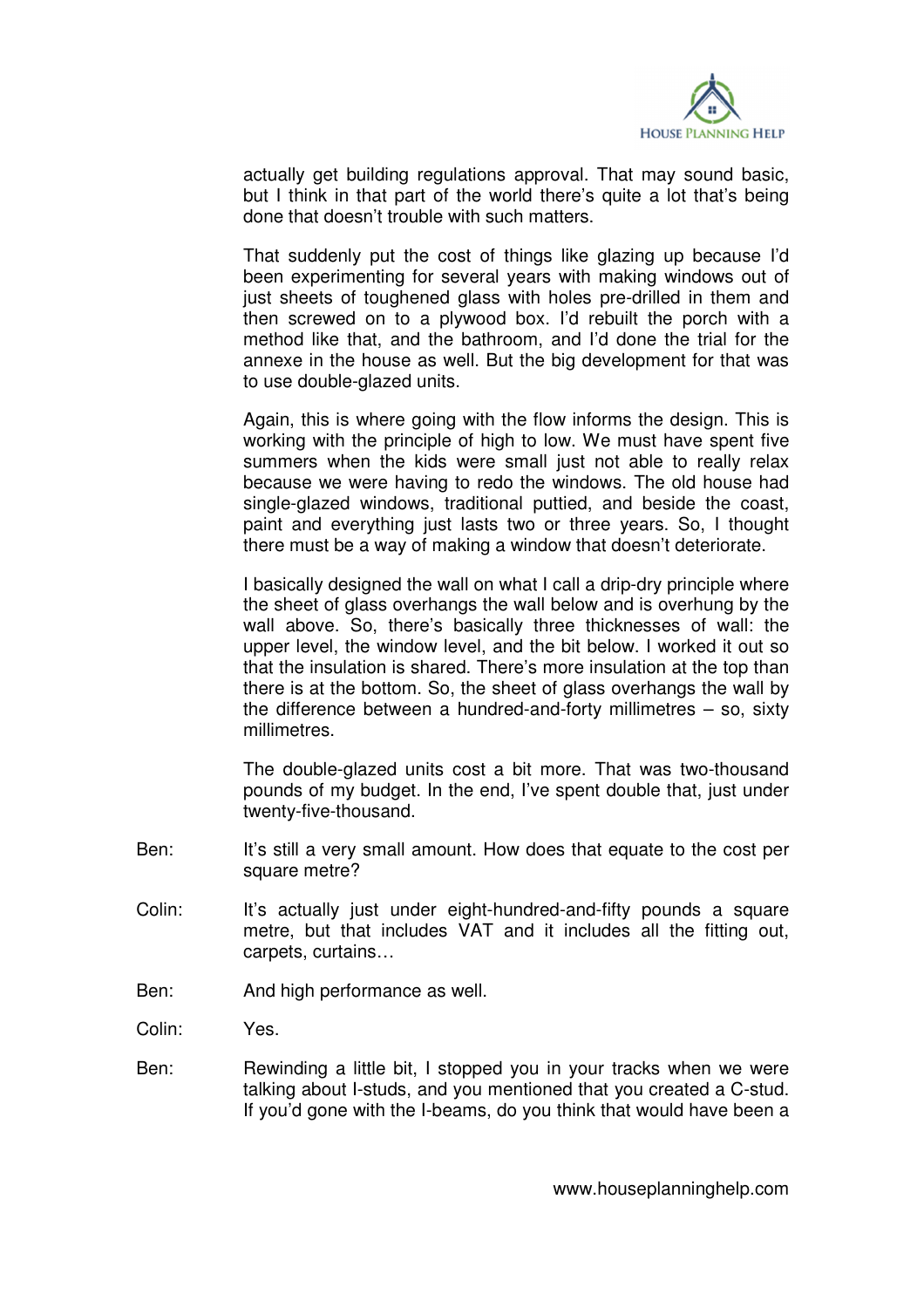

actually get building regulations approval. That may sound basic, but I think in that part of the world there's quite a lot that's being done that doesn't trouble with such matters.

 That suddenly put the cost of things like glazing up because I'd been experimenting for several years with making windows out of just sheets of toughened glass with holes pre-drilled in them and then screwed on to a plywood box. I'd rebuilt the porch with a method like that, and the bathroom, and I'd done the trial for the annexe in the house as well. But the big development for that was to use double-glazed units.

 Again, this is where going with the flow informs the design. This is working with the principle of high to low. We must have spent five summers when the kids were small just not able to really relax because we were having to redo the windows. The old house had single-glazed windows, traditional puttied, and beside the coast, paint and everything just lasts two or three years. So, I thought there must be a way of making a window that doesn't deteriorate.

 I basically designed the wall on what I call a drip-dry principle where the sheet of glass overhangs the wall below and is overhung by the wall above. So, there's basically three thicknesses of wall: the upper level, the window level, and the bit below. I worked it out so that the insulation is shared. There's more insulation at the top than there is at the bottom. So, the sheet of glass overhangs the wall by the difference between a hundred-and-forty millimetres – so, sixty millimetres.

 The double-glazed units cost a bit more. That was two-thousand pounds of my budget. In the end, I've spent double that, just under twenty-five-thousand.

- Ben: It's still a very small amount. How does that equate to the cost per square metre?
- Colin: It's actually just under eight-hundred-and-fifty pounds a square metre, but that includes VAT and it includes all the fitting out, carpets, curtains…
- Ben: And high performance as well.

Colin: Yes.

Ben: Rewinding a little bit, I stopped you in your tracks when we were talking about I-studs, and you mentioned that you created a C-stud. If you'd gone with the I-beams, do you think that would have been a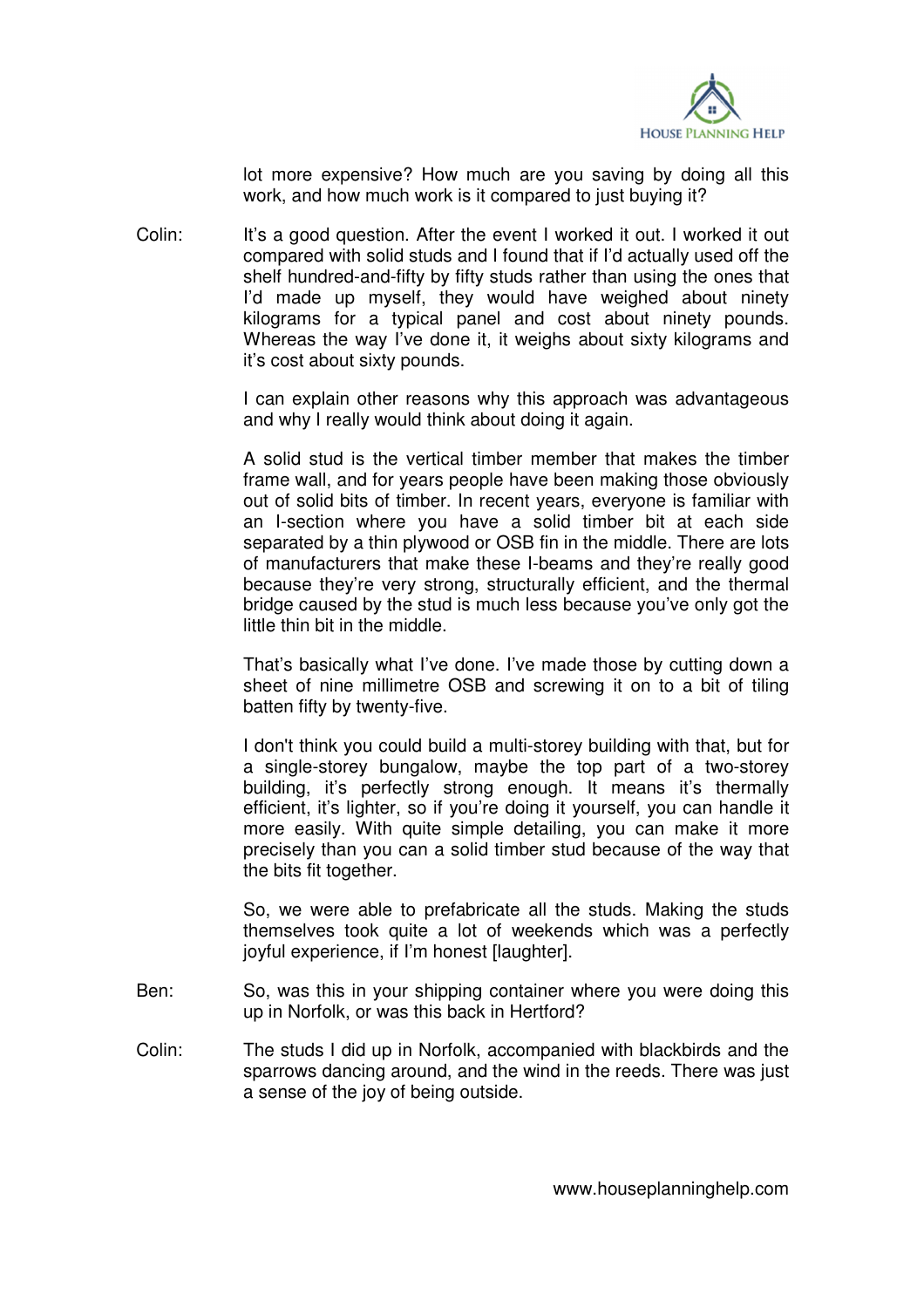

lot more expensive? How much are you saving by doing all this work, and how much work is it compared to just buying it?

Colin: It's a good question. After the event I worked it out. I worked it out compared with solid studs and I found that if I'd actually used off the shelf hundred-and-fifty by fifty studs rather than using the ones that I'd made up myself, they would have weighed about ninety kilograms for a typical panel and cost about ninety pounds. Whereas the way I've done it, it weighs about sixty kilograms and it's cost about sixty pounds.

> I can explain other reasons why this approach was advantageous and why I really would think about doing it again.

> A solid stud is the vertical timber member that makes the timber frame wall, and for years people have been making those obviously out of solid bits of timber. In recent years, everyone is familiar with an I-section where you have a solid timber bit at each side separated by a thin plywood or OSB fin in the middle. There are lots of manufacturers that make these I-beams and they're really good because they're very strong, structurally efficient, and the thermal bridge caused by the stud is much less because you've only got the little thin bit in the middle.

> That's basically what I've done. I've made those by cutting down a sheet of nine millimetre OSB and screwing it on to a bit of tiling batten fifty by twenty-five.

> I don't think you could build a multi-storey building with that, but for a single-storey bungalow, maybe the top part of a two-storey building, it's perfectly strong enough. It means it's thermally efficient, it's lighter, so if you're doing it yourself, you can handle it more easily. With quite simple detailing, you can make it more precisely than you can a solid timber stud because of the way that the bits fit together.

> So, we were able to prefabricate all the studs. Making the studs themselves took quite a lot of weekends which was a perfectly iovful experience, if I'm honest [laughter].

- Ben: So, was this in your shipping container where you were doing this up in Norfolk, or was this back in Hertford?
- Colin: The studs I did up in Norfolk, accompanied with blackbirds and the sparrows dancing around, and the wind in the reeds. There was just a sense of the joy of being outside.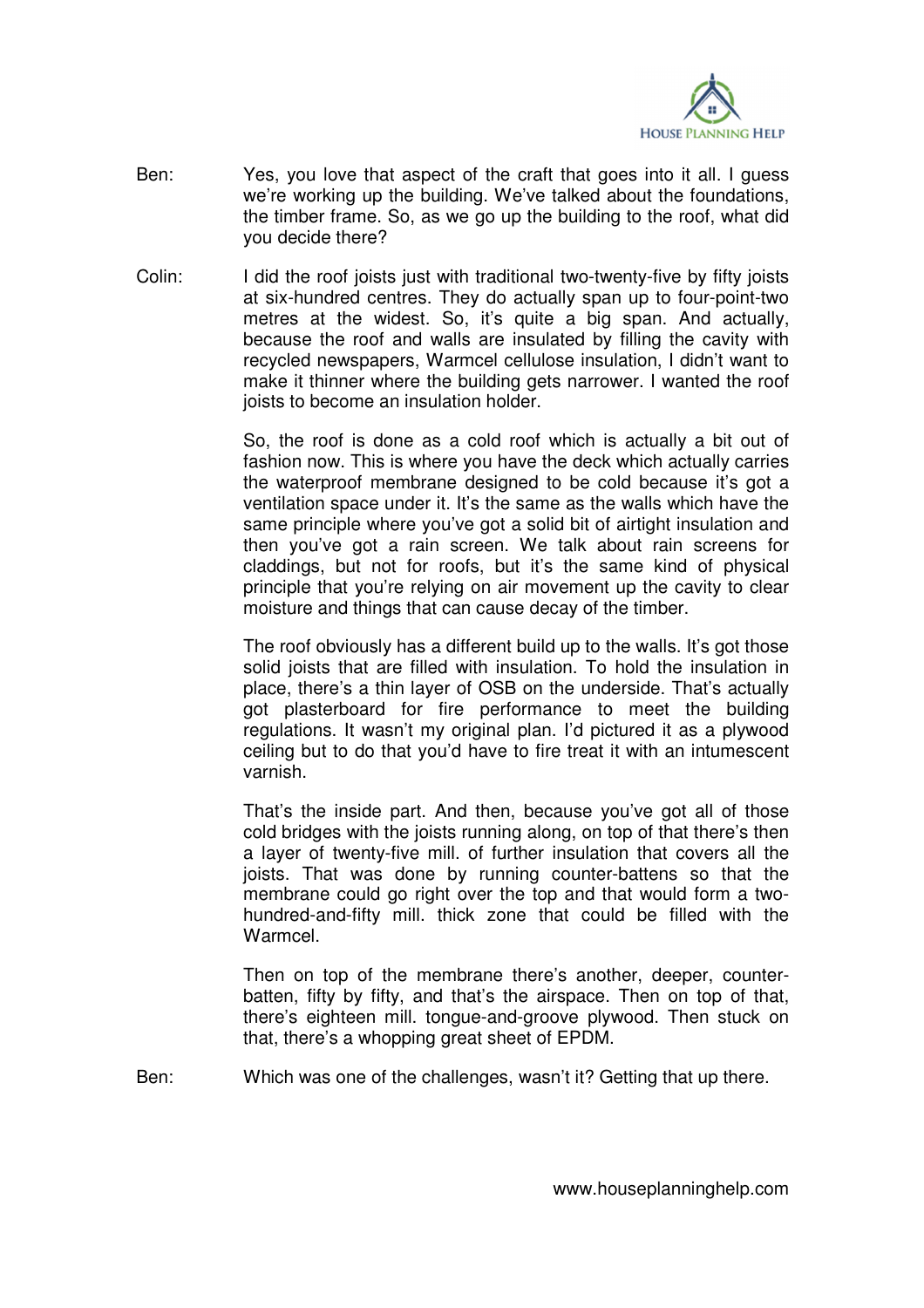

- Ben: Yes, you love that aspect of the craft that goes into it all. I guess we're working up the building. We've talked about the foundations, the timber frame. So, as we go up the building to the roof, what did you decide there?
- Colin: I did the roof joists just with traditional two-twenty-five by fifty joists at six-hundred centres. They do actually span up to four-point-two metres at the widest. So, it's quite a big span. And actually, because the roof and walls are insulated by filling the cavity with recycled newspapers, Warmcel cellulose insulation, I didn't want to make it thinner where the building gets narrower. I wanted the roof joists to become an insulation holder.

 So, the roof is done as a cold roof which is actually a bit out of fashion now. This is where you have the deck which actually carries the waterproof membrane designed to be cold because it's got a ventilation space under it. It's the same as the walls which have the same principle where you've got a solid bit of airtight insulation and then you've got a rain screen. We talk about rain screens for claddings, but not for roofs, but it's the same kind of physical principle that you're relying on air movement up the cavity to clear moisture and things that can cause decay of the timber.

 The roof obviously has a different build up to the walls. It's got those solid joists that are filled with insulation. To hold the insulation in place, there's a thin layer of OSB on the underside. That's actually got plasterboard for fire performance to meet the building regulations. It wasn't my original plan. I'd pictured it as a plywood ceiling but to do that you'd have to fire treat it with an intumescent varnish.

 That's the inside part. And then, because you've got all of those cold bridges with the joists running along, on top of that there's then a layer of twenty-five mill. of further insulation that covers all the joists. That was done by running counter-battens so that the membrane could go right over the top and that would form a twohundred-and-fifty mill. thick zone that could be filled with the Warmcel.

 Then on top of the membrane there's another, deeper, counterbatten, fifty by fifty, and that's the airspace. Then on top of that, there's eighteen mill. tongue-and-groove plywood. Then stuck on that, there's a whopping great sheet of EPDM.

Ben: Which was one of the challenges, wasn't it? Getting that up there.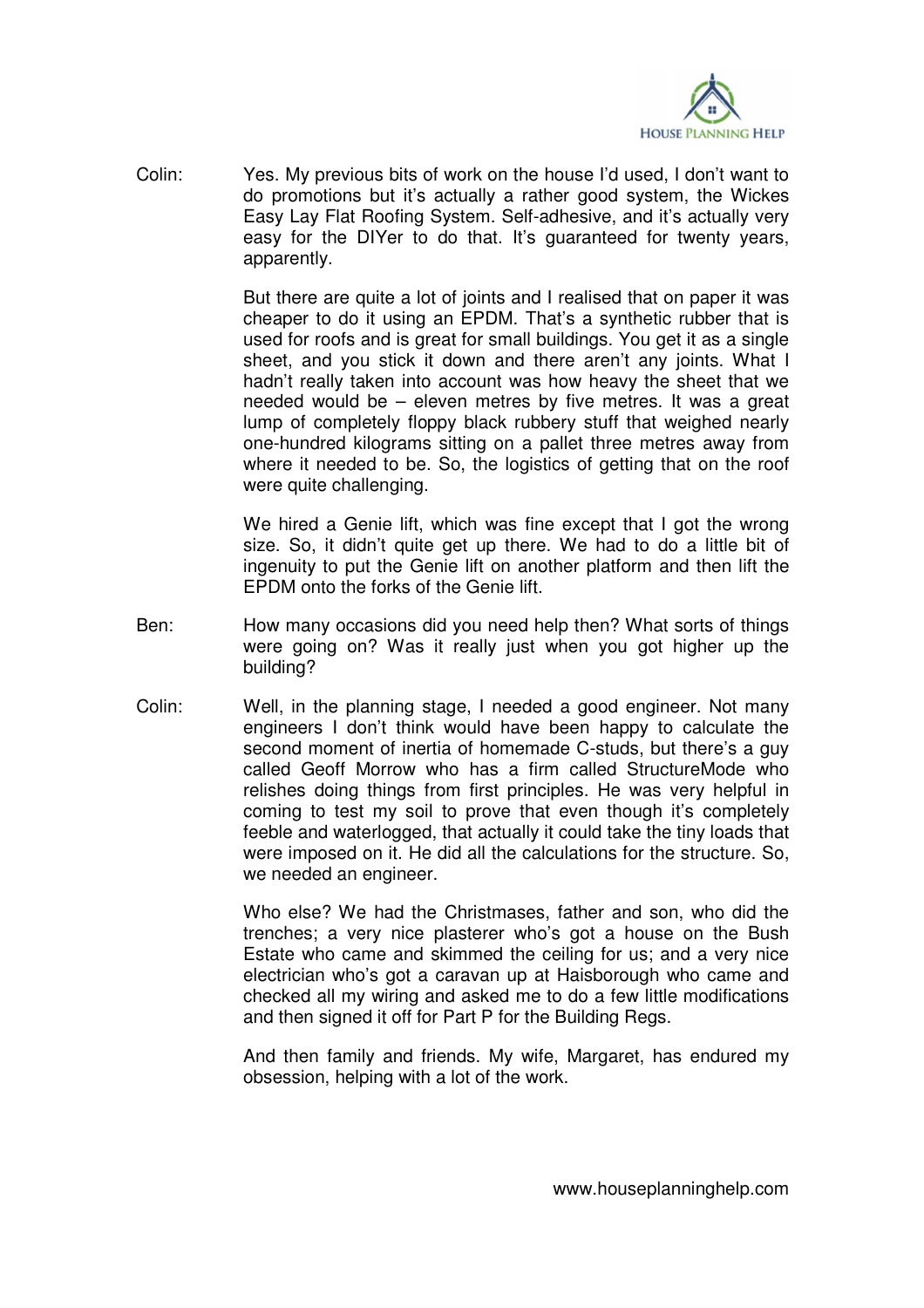

Colin: Yes. My previous bits of work on the house I'd used, I don't want to do promotions but it's actually a rather good system, the Wickes Easy Lay Flat Roofing System. Self-adhesive, and it's actually very easy for the DIYer to do that. It's guaranteed for twenty years, apparently.

> But there are quite a lot of joints and I realised that on paper it was cheaper to do it using an EPDM. That's a synthetic rubber that is used for roofs and is great for small buildings. You get it as a single sheet, and you stick it down and there aren't any joints. What I hadn't really taken into account was how heavy the sheet that we needed would be – eleven metres by five metres. It was a great lump of completely floppy black rubbery stuff that weighed nearly one-hundred kilograms sitting on a pallet three metres away from where it needed to be. So, the logistics of getting that on the roof were quite challenging.

> We hired a Genie lift, which was fine except that I got the wrong size. So, it didn't quite get up there. We had to do a little bit of ingenuity to put the Genie lift on another platform and then lift the EPDM onto the forks of the Genie lift.

- Ben: How many occasions did you need help then? What sorts of things were going on? Was it really just when you got higher up the building?
- Colin: Well, in the planning stage, I needed a good engineer. Not many engineers I don't think would have been happy to calculate the second moment of inertia of homemade C-studs, but there's a guy called Geoff Morrow who has a firm called StructureMode who relishes doing things from first principles. He was very helpful in coming to test my soil to prove that even though it's completely feeble and waterlogged, that actually it could take the tiny loads that were imposed on it. He did all the calculations for the structure. So, we needed an engineer.

 Who else? We had the Christmases, father and son, who did the trenches; a very nice plasterer who's got a house on the Bush Estate who came and skimmed the ceiling for us; and a very nice electrician who's got a caravan up at Haisborough who came and checked all my wiring and asked me to do a few little modifications and then signed it off for Part P for the Building Regs.

 And then family and friends. My wife, Margaret, has endured my obsession, helping with a lot of the work.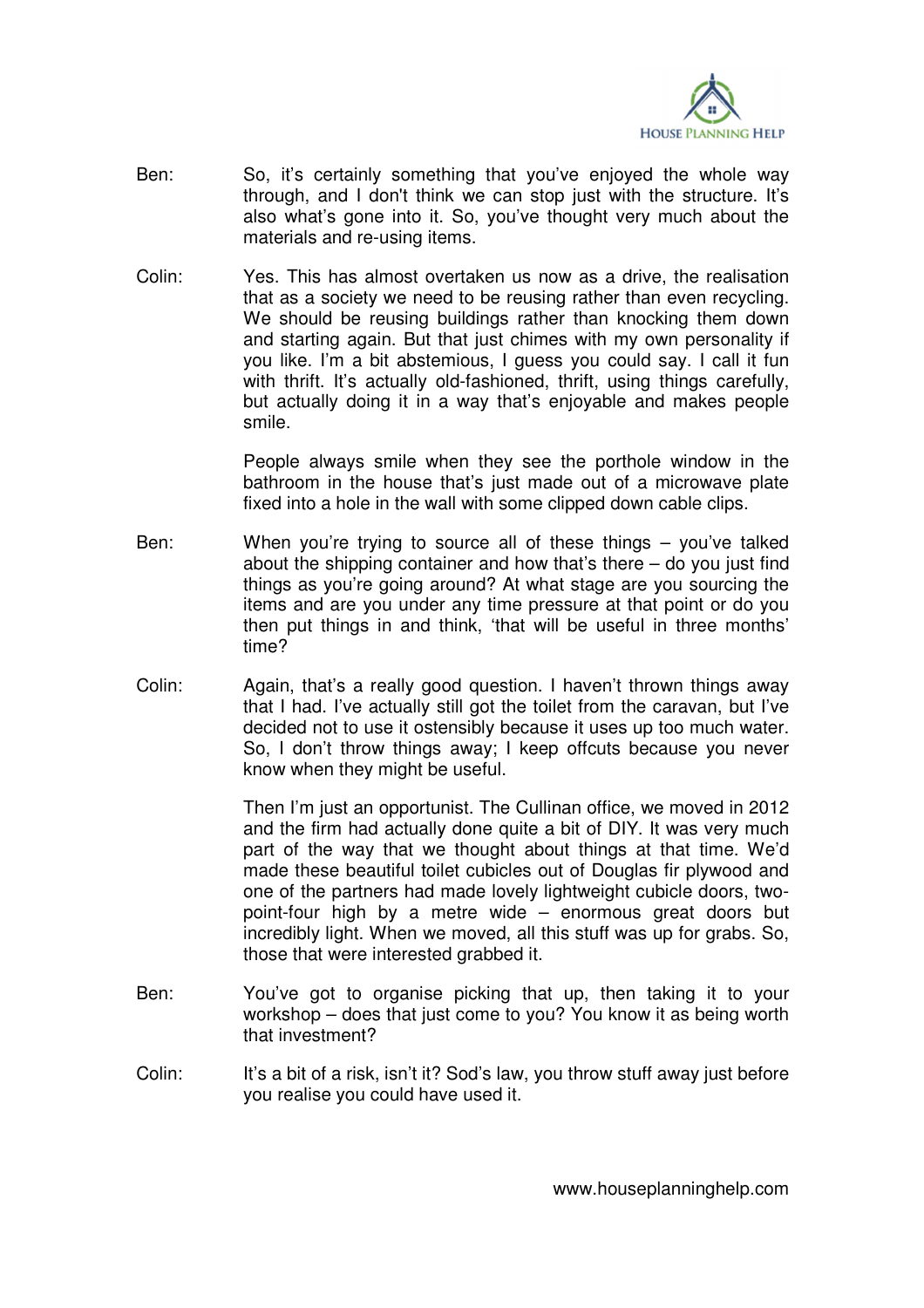

- Ben: So, it's certainly something that you've enjoyed the whole way through, and I don't think we can stop just with the structure. It's also what's gone into it. So, you've thought very much about the materials and re-using items.
- Colin: Yes. This has almost overtaken us now as a drive, the realisation that as a society we need to be reusing rather than even recycling. We should be reusing buildings rather than knocking them down and starting again. But that just chimes with my own personality if you like. I'm a bit abstemious, I guess you could say. I call it fun with thrift. It's actually old-fashioned, thrift, using things carefully, but actually doing it in a way that's enjoyable and makes people smile.

 People always smile when they see the porthole window in the bathroom in the house that's just made out of a microwave plate fixed into a hole in the wall with some clipped down cable clips.

- Ben: When you're trying to source all of these things you've talked about the shipping container and how that's there  $-$  do you just find things as you're going around? At what stage are you sourcing the items and are you under any time pressure at that point or do you then put things in and think, 'that will be useful in three months' time?
- Colin: Again, that's a really good question. I haven't thrown things away that I had. I've actually still got the toilet from the caravan, but I've decided not to use it ostensibly because it uses up too much water. So, I don't throw things away; I keep offcuts because you never know when they might be useful.

 Then I'm just an opportunist. The Cullinan office, we moved in 2012 and the firm had actually done quite a bit of DIY. It was very much part of the way that we thought about things at that time. We'd made these beautiful toilet cubicles out of Douglas fir plywood and one of the partners had made lovely lightweight cubicle doors, twopoint-four high by a metre wide – enormous great doors but incredibly light. When we moved, all this stuff was up for grabs. So, those that were interested grabbed it.

- Ben: You've got to organise picking that up, then taking it to your workshop – does that just come to you? You know it as being worth that investment?
- Colin: It's a bit of a risk, isn't it? Sod's law, you throw stuff away just before you realise you could have used it.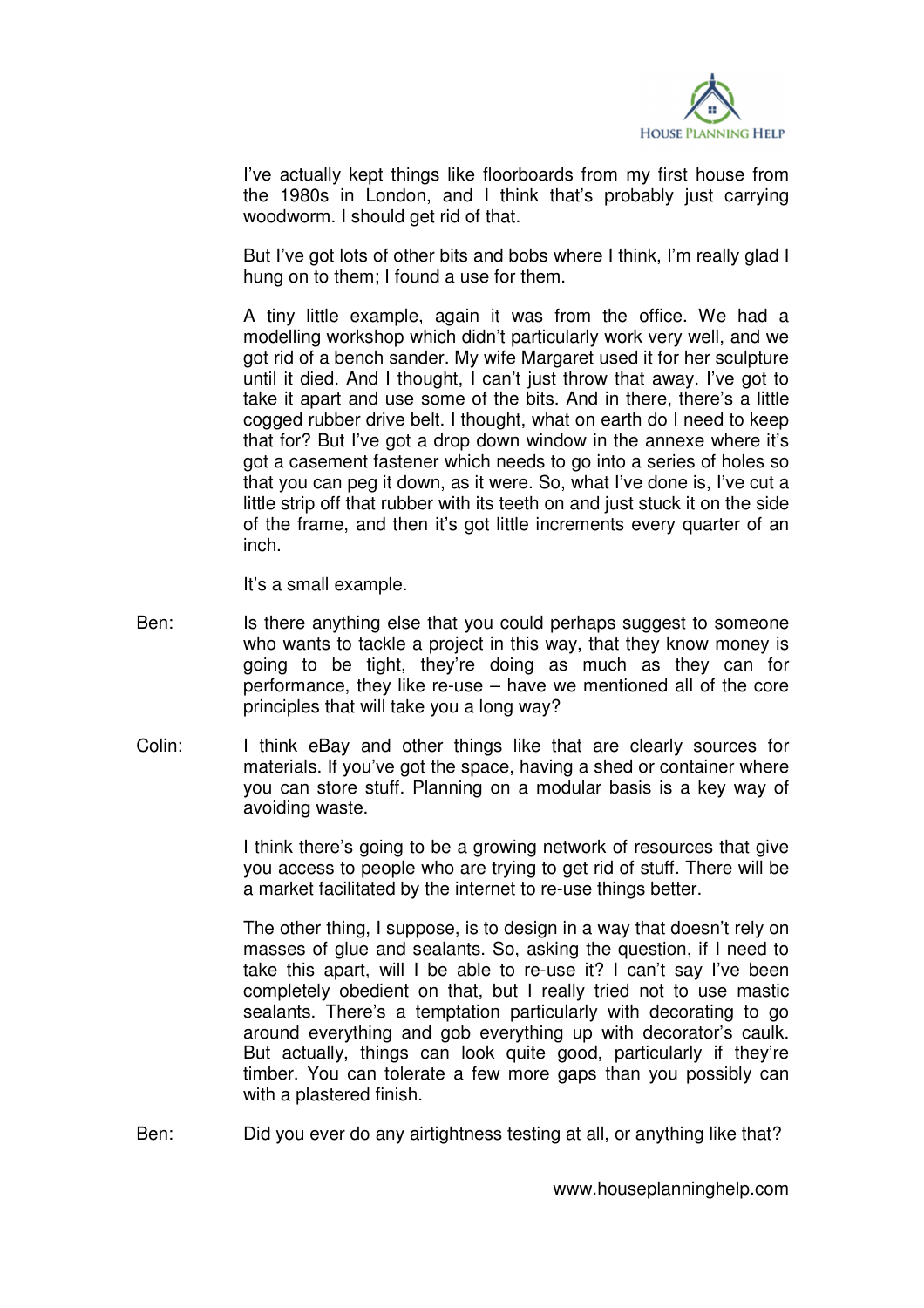

 I've actually kept things like floorboards from my first house from the 1980s in London, and I think that's probably just carrying woodworm. I should get rid of that.

 But I've got lots of other bits and bobs where I think, I'm really glad I hung on to them; I found a use for them.

 A tiny little example, again it was from the office. We had a modelling workshop which didn't particularly work very well, and we got rid of a bench sander. My wife Margaret used it for her sculpture until it died. And I thought, I can't just throw that away. I've got to take it apart and use some of the bits. And in there, there's a little cogged rubber drive belt. I thought, what on earth do I need to keep that for? But I've got a drop down window in the annexe where it's got a casement fastener which needs to go into a series of holes so that you can peg it down, as it were. So, what I've done is, I've cut a little strip off that rubber with its teeth on and just stuck it on the side of the frame, and then it's got little increments every quarter of an inch.

It's a small example.

- Ben: Is there anything else that you could perhaps suggest to someone who wants to tackle a project in this way, that they know money is going to be tight, they're doing as much as they can for performance, they like re-use – have we mentioned all of the core principles that will take you a long way?
- Colin: I think eBay and other things like that are clearly sources for materials. If you've got the space, having a shed or container where you can store stuff. Planning on a modular basis is a key way of avoiding waste.

 I think there's going to be a growing network of resources that give you access to people who are trying to get rid of stuff. There will be a market facilitated by the internet to re-use things better.

 The other thing, I suppose, is to design in a way that doesn't rely on masses of glue and sealants. So, asking the question, if I need to take this apart, will I be able to re-use it? I can't say I've been completely obedient on that, but I really tried not to use mastic sealants. There's a temptation particularly with decorating to go around everything and gob everything up with decorator's caulk. But actually, things can look quite good, particularly if they're timber. You can tolerate a few more gaps than you possibly can with a plastered finish.

Ben: Did you ever do any airtightness testing at all, or anything like that?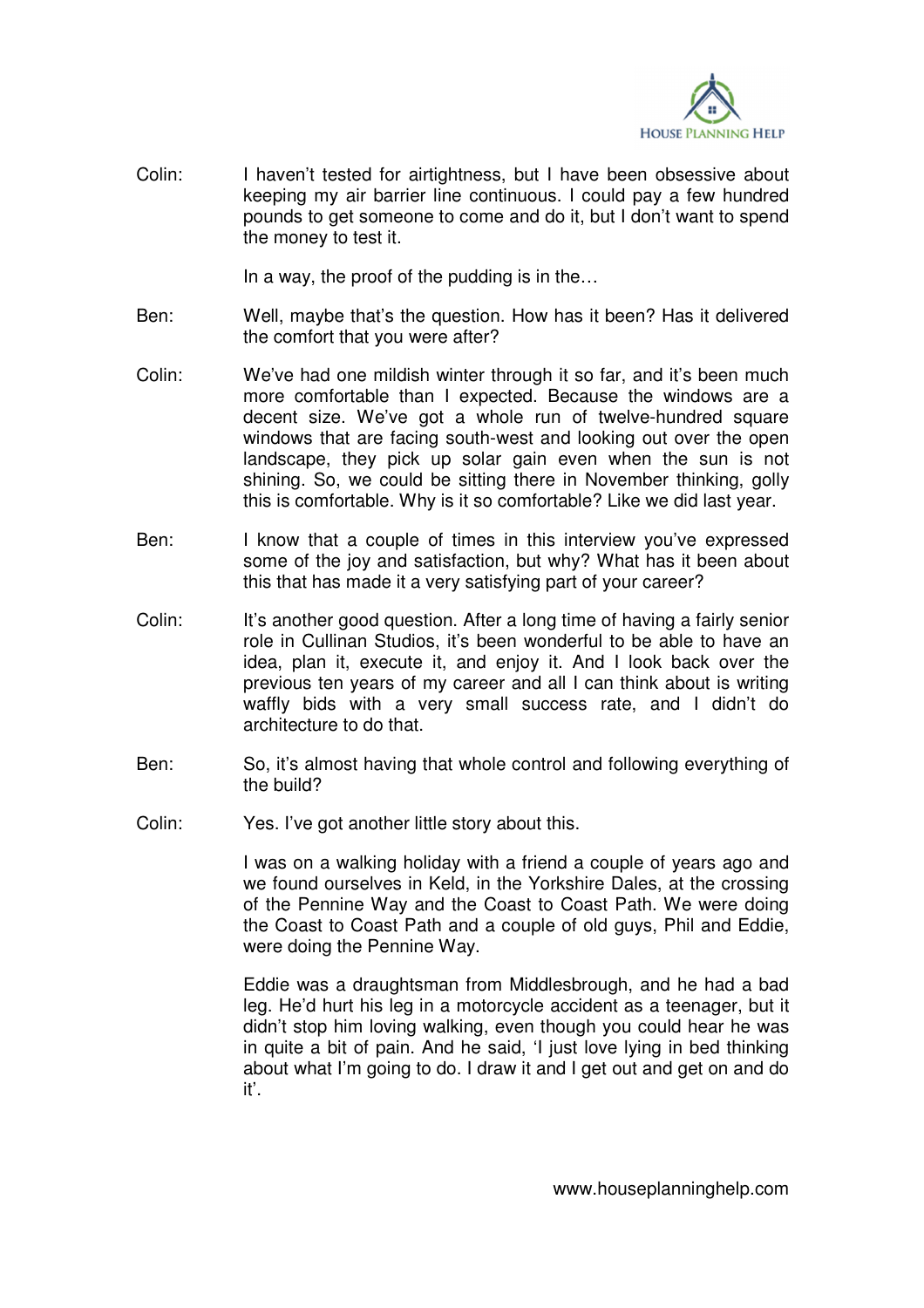

Colin: I haven't tested for airtightness, but I have been obsessive about keeping my air barrier line continuous. I could pay a few hundred pounds to get someone to come and do it, but I don't want to spend the money to test it.

In a way, the proof of the pudding is in the…

- Ben: Well, maybe that's the question. How has it been? Has it delivered the comfort that you were after?
- Colin: We've had one mildish winter through it so far, and it's been much more comfortable than I expected. Because the windows are a decent size. We've got a whole run of twelve-hundred square windows that are facing south-west and looking out over the open landscape, they pick up solar gain even when the sun is not shining. So, we could be sitting there in November thinking, golly this is comfortable. Why is it so comfortable? Like we did last year.
- Ben: I know that a couple of times in this interview you've expressed some of the joy and satisfaction, but why? What has it been about this that has made it a very satisfying part of your career?
- Colin: It's another good question. After a long time of having a fairly senior role in Cullinan Studios, it's been wonderful to be able to have an idea, plan it, execute it, and enjoy it. And I look back over the previous ten years of my career and all I can think about is writing waffly bids with a very small success rate, and I didn't do architecture to do that.
- Ben: So, it's almost having that whole control and following everything of the build?
- Colin: Yes. I've got another little story about this.

 I was on a walking holiday with a friend a couple of years ago and we found ourselves in Keld, in the Yorkshire Dales, at the crossing of the Pennine Way and the Coast to Coast Path. We were doing the Coast to Coast Path and a couple of old guys, Phil and Eddie, were doing the Pennine Way.

 Eddie was a draughtsman from Middlesbrough, and he had a bad leg. He'd hurt his leg in a motorcycle accident as a teenager, but it didn't stop him loving walking, even though you could hear he was in quite a bit of pain. And he said, 'I just love lying in bed thinking about what I'm going to do. I draw it and I get out and get on and do it'.